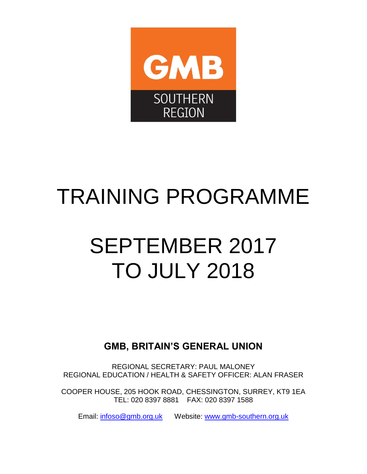

# TRAINING PROGRAMME

# SEPTEMBER 2017 TO JULY 2018

**GMB, BRITAIN'S GENERAL UNION**

REGIONAL SECRETARY: PAUL MALONEY REGIONAL EDUCATION / HEALTH & SAFETY OFFICER: ALAN FRASER

COOPER HOUSE, 205 HOOK ROAD, CHESSINGTON, SURREY, KT9 1EA TEL: 020 8397 8881 FAX: 020 8397 1588

Email: [infoso@gmb.org.uk](mailto:infoso@gmb.org.uk) Website: [www.gmb-southern.org.uk](http://www.gmb-southern.org.uk/)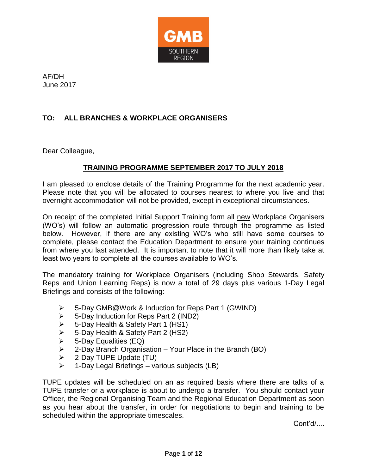

AF/DH June 2017

# **TO: ALL BRANCHES & WORKPLACE ORGANISERS**

Dear Colleague,

## **TRAINING PROGRAMME SEPTEMBER 2017 TO JULY 2018**

I am pleased to enclose details of the Training Programme for the next academic year. Please note that you will be allocated to courses nearest to where you live and that overnight accommodation will not be provided, except in exceptional circumstances.

On receipt of the completed Initial Support Training form all new Workplace Organisers (WO's) will follow an automatic progression route through the programme as listed below. However, if there are any existing WO's who still have some courses to complete, please contact the Education Department to ensure your training continues from where you last attended. It is important to note that it will more than likely take at least two years to complete all the courses available to WO's.

The mandatory training for Workplace Organisers (including Shop Stewards, Safety Reps and Union Learning Reps) is now a total of 29 days plus various 1-Day Legal Briefings and consists of the following:-

- 5-Day GMB@Work & Induction for Reps Part 1 (GWIND)
- 5-Day Induction for Reps Part 2 (IND2)
- 5-Day Health & Safety Part 1 (HS1)
- $\geq$  5-Day Health & Safety Part 2 (HS2)
- $\triangleright$  5-Day Equalities (EQ)
- $\geq$  2-Day Branch Organisation Your Place in the Branch (BO)
- $\geq$  2-Day TUPE Update (TU)
- 1-Day Legal Briefings various subjects (LB)

TUPE updates will be scheduled on an as required basis where there are talks of a TUPE transfer or a workplace is about to undergo a transfer. You should contact your Officer, the Regional Organising Team and the Regional Education Department as soon as you hear about the transfer, in order for negotiations to begin and training to be scheduled within the appropriate timescales.

Cont'd/....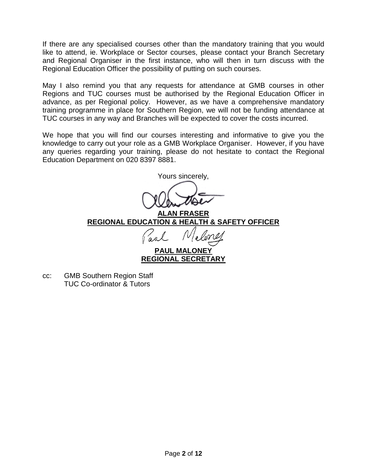If there are any specialised courses other than the mandatory training that you would like to attend, ie. Workplace or Sector courses, please contact your Branch Secretary and Regional Organiser in the first instance, who will then in turn discuss with the Regional Education Officer the possibility of putting on such courses.

May I also remind you that any requests for attendance at GMB courses in other Regions and TUC courses must be authorised by the Regional Education Officer in advance, as per Regional policy. However, as we have a comprehensive mandatory training programme in place for Southern Region, we will not be funding attendance at TUC courses in any way and Branches will be expected to cover the costs incurred.

We hope that you will find our courses interesting and informative to give you the knowledge to carry out your role as a GMB Workplace Organiser. However, if you have any queries regarding your training, please do not hesitate to contact the Regional Education Department on 020 8397 8881.

Yours sincerely,

**ALAN FRASER REGIONAL EDUCATION & HEALTH & SAFETY OFFICER**

**PAUL MALONEY REGIONAL SECRETARY**

cc: GMB Southern Region Staff TUC Co-ordinator & Tutors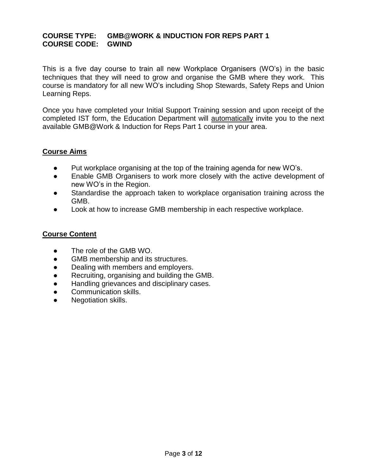#### **COURSE TYPE: GMB@WORK & INDUCTION FOR REPS PART 1 COURSE CODE: GWIND**

This is a five day course to train all new Workplace Organisers (WO's) in the basic techniques that they will need to grow and organise the GMB where they work. This course is mandatory for all new WO's including Shop Stewards, Safety Reps and Union Learning Reps.

Once you have completed your Initial Support Training session and upon receipt of the completed IST form, the Education Department will automatically invite you to the next available GMB@Work & Induction for Reps Part 1 course in your area.

## **Course Aims**

- Put workplace organising at the top of the training agenda for new WO's.
- Enable GMB Organisers to work more closely with the active development of new WO's in the Region.
- Standardise the approach taken to workplace organisation training across the GMB.
- Look at how to increase GMB membership in each respective workplace.

## **Course Content**

- The role of the GMB WO.
- GMB membership and its structures.
- Dealing with members and employers.
- Recruiting, organising and building the GMB.
- Handling grievances and disciplinary cases.
- Communication skills.
- Negotiation skills.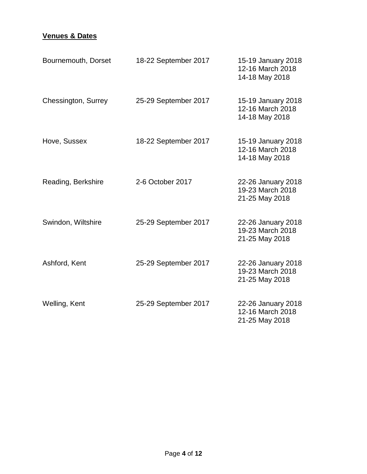| Bournemouth, Dorset | 18-22 September 2017 | 15-19 January 2018<br>12-16 March 2018<br>14-18 May 2018 |
|---------------------|----------------------|----------------------------------------------------------|
| Chessington, Surrey | 25-29 September 2017 | 15-19 January 2018<br>12-16 March 2018<br>14-18 May 2018 |
| Hove, Sussex        | 18-22 September 2017 | 15-19 January 2018<br>12-16 March 2018<br>14-18 May 2018 |
| Reading, Berkshire  | 2-6 October 2017     | 22-26 January 2018<br>19-23 March 2018<br>21-25 May 2018 |
| Swindon, Wiltshire  | 25-29 September 2017 | 22-26 January 2018<br>19-23 March 2018<br>21-25 May 2018 |
| Ashford, Kent       | 25-29 September 2017 | 22-26 January 2018<br>19-23 March 2018<br>21-25 May 2018 |
| Welling, Kent       | 25-29 September 2017 | 22-26 January 2018<br>12-16 March 2018<br>21-25 May 2018 |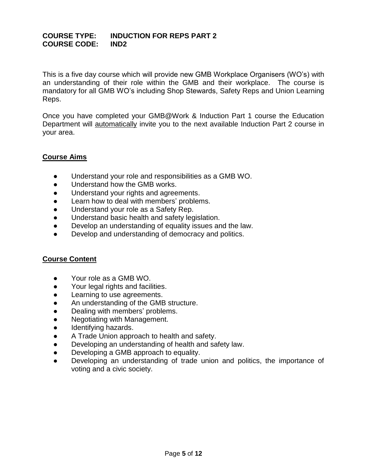#### **COURSE TYPE: INDUCTION FOR REPS PART 2 COURSE CODE: IND2**

This is a five day course which will provide new GMB Workplace Organisers (WO's) with an understanding of their role within the GMB and their workplace. The course is mandatory for all GMB WO's including Shop Stewards, Safety Reps and Union Learning Reps.

Once you have completed your GMB@Work & Induction Part 1 course the Education Department will automatically invite you to the next available Induction Part 2 course in your area.

## **Course Aims**

- Understand your role and responsibilities as a GMB WO.
- Understand how the GMB works.
- Understand your rights and agreements.
- Learn how to deal with members' problems.
- Understand your role as a Safety Rep.
- Understand basic health and safety legislation.
- Develop an understanding of equality issues and the law.
- Develop and understanding of democracy and politics.

#### **Course Content**

- Your role as a GMB WO.
- Your legal rights and facilities.
- Learning to use agreements.
- An understanding of the GMB structure.
- Dealing with members' problems.
- Negotiating with Management.
- Identifying hazards.
- A Trade Union approach to health and safety.
- Developing an understanding of health and safety law.
- Developing a GMB approach to equality.
- Developing an understanding of trade union and politics, the importance of voting and a civic society.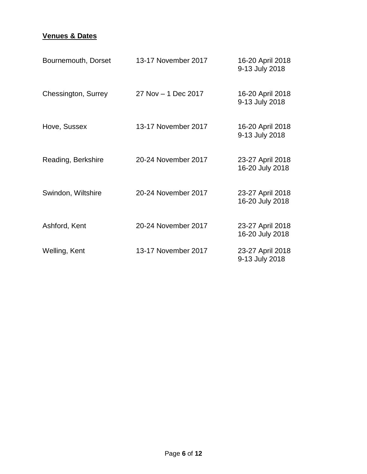| Bournemouth, Dorset | 13-17 November 2017 | 16-20 April 2018<br>9-13 July 2018  |
|---------------------|---------------------|-------------------------------------|
| Chessington, Surrey | 27 Nov - 1 Dec 2017 | 16-20 April 2018<br>9-13 July 2018  |
| Hove, Sussex        | 13-17 November 2017 | 16-20 April 2018<br>9-13 July 2018  |
| Reading, Berkshire  | 20-24 November 2017 | 23-27 April 2018<br>16-20 July 2018 |
| Swindon, Wiltshire  | 20-24 November 2017 | 23-27 April 2018<br>16-20 July 2018 |
| Ashford, Kent       | 20-24 November 2017 | 23-27 April 2018<br>16-20 July 2018 |
| Welling, Kent       | 13-17 November 2017 | 23-27 April 2018<br>9-13 July 2018  |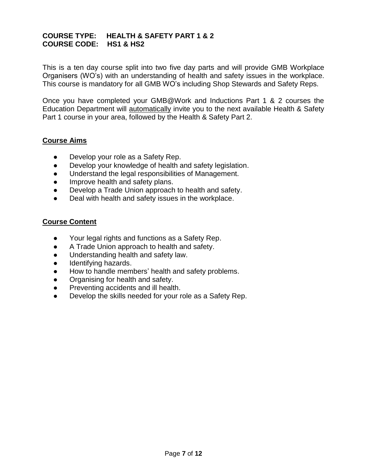## **COURSE TYPE: HEALTH & SAFETY PART 1 & 2 COURSE CODE: HS1 & HS2**

This is a ten day course split into two five day parts and will provide GMB Workplace Organisers (WO's) with an understanding of health and safety issues in the workplace. This course is mandatory for all GMB WO's including Shop Stewards and Safety Reps.

Once you have completed your GMB@Work and Inductions Part 1 & 2 courses the Education Department will automatically invite you to the next available Health & Safety Part 1 course in your area, followed by the Health & Safety Part 2.

#### **Course Aims**

- Develop your role as a Safety Rep.
- Develop your knowledge of health and safety legislation.
- Understand the legal responsibilities of Management.
- Improve health and safety plans.
- Develop a Trade Union approach to health and safety.
- Deal with health and safety issues in the workplace.

#### **Course Content**

- Your legal rights and functions as a Safety Rep.
- A Trade Union approach to health and safety.
- Understanding health and safety law.
- Identifying hazards.
- How to handle members' health and safety problems.
- Organising for health and safety.
- Preventing accidents and ill health.
- Develop the skills needed for your role as a Safety Rep.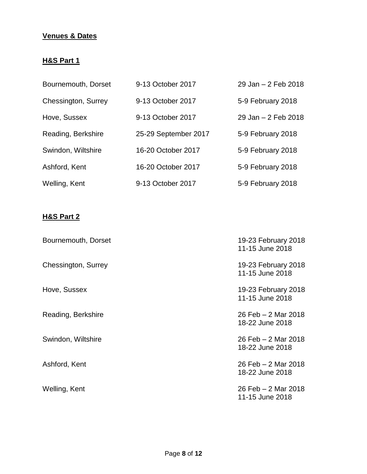# **Venues & Dates**

# **H&S Part 1**

| Bournemouth, Dorset | 9-13 October 2017    | 29 Jan - 2 Feb 2018 |
|---------------------|----------------------|---------------------|
| Chessington, Surrey | 9-13 October 2017    | 5-9 February 2018   |
| Hove, Sussex        | 9-13 October 2017    | 29 Jan - 2 Feb 2018 |
| Reading, Berkshire  | 25-29 September 2017 | 5-9 February 2018   |
| Swindon, Wiltshire  | 16-20 October 2017   | 5-9 February 2018   |
| Ashford, Kent       | 16-20 October 2017   | 5-9 February 2018   |
| Welling, Kent       | 9-13 October 2017    | 5-9 February 2018   |

# **H&S Part 2**

| Bournemouth, Dorset | 19-23 February 2018<br>11-15 June 2018 |
|---------------------|----------------------------------------|
| Chessington, Surrey | 19-23 February 2018<br>11-15 June 2018 |
| Hove, Sussex        | 19-23 February 2018<br>11-15 June 2018 |
| Reading, Berkshire  | 26 Feb - 2 Mar 2018<br>18-22 June 2018 |
| Swindon, Wiltshire  | 26 Feb - 2 Mar 2018<br>18-22 June 2018 |
| Ashford, Kent       | 26 Feb - 2 Mar 2018<br>18-22 June 2018 |
| Welling, Kent       | 26 Feb - 2 Mar 2018<br>11-15 June 2018 |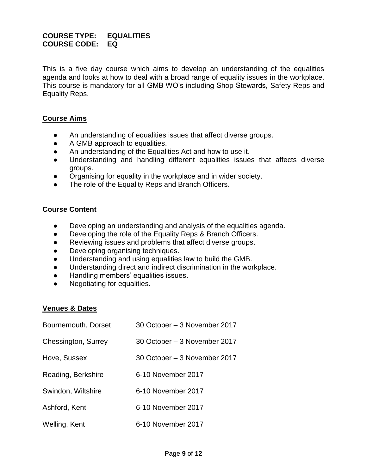## **COURSE TYPE: EQUALITIES COURSE CODE: EQ**

This is a five day course which aims to develop an understanding of the equalities agenda and looks at how to deal with a broad range of equality issues in the workplace. This course is mandatory for all GMB WO's including Shop Stewards, Safety Reps and Equality Reps.

#### **Course Aims**

- An understanding of equalities issues that affect diverse groups.
- A GMB approach to equalities.
- An understanding of the Equalities Act and how to use it.
- Understanding and handling different equalities issues that affects diverse groups.
- Organising for equality in the workplace and in wider society.
- The role of the Equality Reps and Branch Officers.

#### **Course Content**

- Developing an understanding and analysis of the equalities agenda.
- Developing the role of the Equality Reps & Branch Officers.
- Reviewing issues and problems that affect diverse groups.
- Developing organising techniques.
- Understanding and using equalities law to build the GMB.
- Understanding direct and indirect discrimination in the workplace.
- Handling members' equalities issues.
- Negotiating for equalities.

| Bournemouth, Dorset | 30 October - 3 November 2017 |
|---------------------|------------------------------|
| Chessington, Surrey | 30 October – 3 November 2017 |
| Hove, Sussex        | 30 October – 3 November 2017 |
| Reading, Berkshire  | 6-10 November 2017           |
| Swindon, Wiltshire  | 6-10 November 2017           |
| Ashford, Kent       | 6-10 November 2017           |
| Welling, Kent       | 6-10 November 2017           |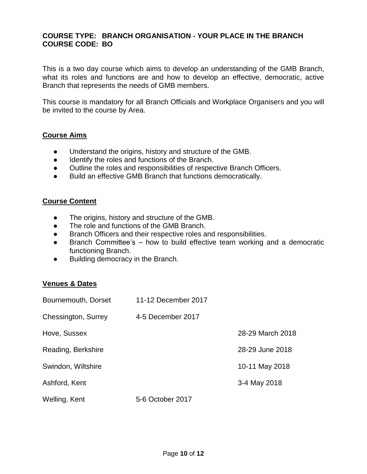## **COURSE TYPE: BRANCH ORGANISATION - YOUR PLACE IN THE BRANCH COURSE CODE: BO**

This is a two day course which aims to develop an understanding of the GMB Branch, what its roles and functions are and how to develop an effective, democratic, active Branch that represents the needs of GMB members.

This course is mandatory for all Branch Officials and Workplace Organisers and you will be invited to the course by Area.

#### **Course Aims**

- Understand the origins, history and structure of the GMB.
- Identify the roles and functions of the Branch.
- Outline the roles and responsibilities of respective Branch Officers.
- Build an effective GMB Branch that functions democratically.

#### **Course Content**

- The origins, history and structure of the GMB.
- The role and functions of the GMB Branch.
- Branch Officers and their respective roles and responsibilities.
- Branch Committee's how to build effective team working and a democratic functioning Branch.
- Building democracy in the Branch.

| Bournemouth, Dorset | 11-12 December 2017 |                  |
|---------------------|---------------------|------------------|
| Chessington, Surrey | 4-5 December 2017   |                  |
| Hove, Sussex        |                     | 28-29 March 2018 |
| Reading, Berkshire  |                     | 28-29 June 2018  |
| Swindon, Wiltshire  |                     | 10-11 May 2018   |
| Ashford, Kent       |                     | 3-4 May 2018     |
| Welling, Kent       | 5-6 October 2017    |                  |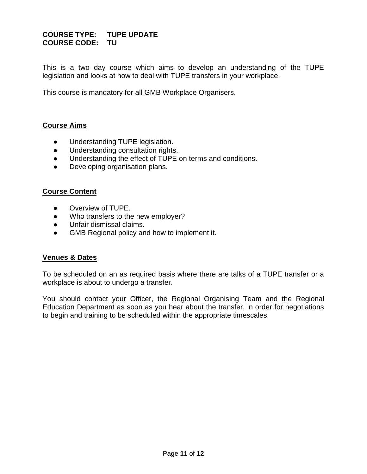## **COURSE TYPE: TUPE UPDATE COURSE CODE: TU**

This is a two day course which aims to develop an understanding of the TUPE legislation and looks at how to deal with TUPE transfers in your workplace.

This course is mandatory for all GMB Workplace Organisers.

#### **Course Aims**

- Understanding TUPE legislation.
- Understanding consultation rights.
- Understanding the effect of TUPE on terms and conditions.
- Developing organisation plans.

#### **Course Content**

- Overview of TUPE.
- Who transfers to the new employer?
- Unfair dismissal claims.
- GMB Regional policy and how to implement it.

#### **Venues & Dates**

To be scheduled on an as required basis where there are talks of a TUPE transfer or a workplace is about to undergo a transfer.

You should contact your Officer, the Regional Organising Team and the Regional Education Department as soon as you hear about the transfer, in order for negotiations to begin and training to be scheduled within the appropriate timescales.